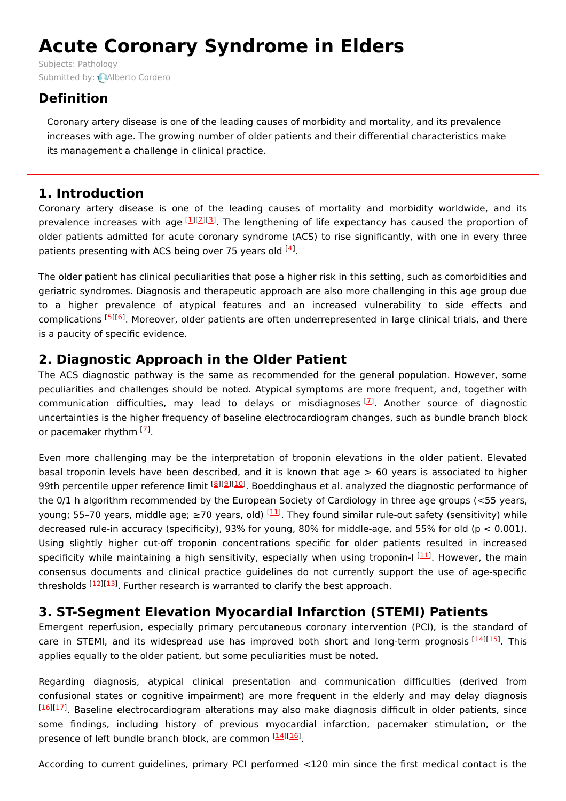# **Acute Coronary Syndrome in Elders**

Subjects: [Pathology](https://encyclopedia.pub/item/subject/204) Submitted by: **Alberto [Cordero](https://sciprofiles.com/profile/907416)** 

## **Definition**

Coronary artery disease is one of the leading causes of morbidity and mortality, and its prevalence increases with age. The growing number of older patients and their differential characteristics make its management a challenge in clinical practice.

## **1. Introduction**

Coronary artery disease is one of the leading causes of mortality and morbidity worldwide, and its prevalence increases with age [\[1](#page-2-0)][\[2](#page-2-1)][\[3](#page-2-2)]. The lengthening of life expectancy has caused the proportion of older patients admitted for acute coronary syndrome (ACS) to rise significantly, with one in every three patients presenting with ACS being over 75 years old <sup>[\[4](#page-2-3)]</sup>.

The older patient has clinical peculiarities that pose a higher risk in this setting, such as comorbidities and geriatric syndromes. Diagnosis and therapeutic approach are also more challenging in this age group due to a higher prevalence of atypical features and an increased vulnerability to side effects and complications [\[5](#page-3-0)][[6](#page-3-1)]. Moreover, older patients are often underrepresented in large clinical trials, and there is a paucity of specific evidence.

## **2. Diagnostic Approach in the Older Patient**

The ACS diagnostic pathway is the same as recommended for the general population. However, some peculiarities and challenges should be noted. Atypical symptoms are more frequent, and, together with communication difficulties, may lead to delays or misdiagnoses <sup>[[7](#page-3-2)]</sup>. Another source of diagnostic uncertainties is the higher frequency of baseline electrocardiogram changes, such as bundle branch block or pacemaker rhythm [2].

Even more challenging may be the interpretation of troponin elevations in the older patient. Elevated basal troponin levels have been described, and it is known that age > 60 years is associated to higher 99th percentile upper reference limit <sup>[\[8](#page-3-3)][[9](#page-3-4)][\[10](#page-3-5)]</sup>. Boeddinghaus et al. analyzed the diagnostic performance of the 0/1 h algorithm recommended by the European Society of Cardiology in three age groups (<55 years, young; 55-70 years, middle age; ≥70 years, old) <sup>[[11](#page-3-6)]</sup>. They found similar rule-out safety (sensitivity) while decreased rule-in accuracy (specificity), 93% for young, 80% for middle-age, and 55% for old ( $p < 0.001$ ). Using slightly higher cut-off troponin concentrations specific for older patients resulted in increased specificity while maintaining a high sensitivity, especially when using troponin-I [\[11](#page-3-6)]. However, the main consensus documents and clinical practice guidelines do not currently support the use of age-specific thresholds [[12\]](#page-3-7)[[13\]](#page-3-8). Further research is warranted to clarify the best approach.

# **3. ST-Segment Elevation Myocardial Infarction (STEMI) Patients**

Emergent reperfusion, especially primary percutaneous coronary intervention (PCI), is the standard of care in STEMI, and its widespread use has improved both short and long-term prognosis [[14](#page-3-9)][[15](#page-3-10)]. This applies equally to the older patient, but some peculiarities must be noted.

Regarding diagnosis, atypical clinical presentation and communication difficulties (derived from confusional states or cognitive impairment) are more frequent in the elderly and may delay diagnosis <sup>[[16](#page-3-11)][\[17\]](#page-3-12)</sup>. Baseline electrocardiogram alterations may also make diagnosis difficult in older patients, since some findings, including history of previous myocardial infarction, pacemaker stimulation, or the presence of left bundle branch block, are common [[14](#page-3-9)][\[16\]](#page-3-11).

According to current guidelines, primary PCI performed <120 min since the first medical contact is the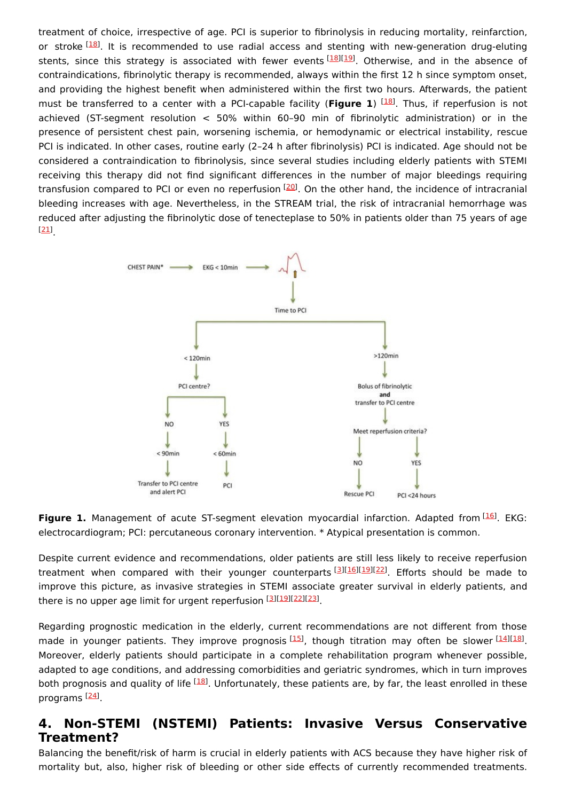treatment of choice, irrespective of age. PCI is superior to fibrinolysis in reducing mortality, reinfarction, or stroke <sup>[\[18](#page-3-13)]</sup>. It is recommended to use radial access and stenting with new-generation drug-eluting stents, since this strategy is associated with fewer events [\[18\]](#page-3-13)[[19](#page-3-14)]. Otherwise, and in the absence of contraindications, fibrinolytic therapy is recommended, always within the first 12 h since symptom onset, and providing the highest benefit when administered within the first two hours. Afterwards, the patient must be transferred to a center with a PCI-capable facility (Figure 1) <sup>[[18](#page-3-13)]</sup>. Thus, if reperfusion is not achieved (ST-segment resolution < 50% within 60–90 min of fibrinolytic administration) or in the presence of persistent chest pain, worsening ischemia, or hemodynamic or electrical instability, rescue PCI is indicated. In other cases, routine early (2–24 h after fibrinolysis) PCI is indicated. Age should not be considered a contraindication to fibrinolysis, since several studies including elderly patients with STEMI receiving this therapy did not find significant differences in the number of major bleedings requiring transfusion compared to PCI or even no reperfusion <sup>[[20\]](#page-3-15)</sup>. On the other hand, the incidence of intracranial bleeding increases with age. Nevertheless, in the STREAM trial, the risk of intracranial hemorrhage was reduced after adjusting the fibrinolytic dose of tenecteplase to 50% in patients older than 75 years of age . [[21](#page-3-16)]



Figure 1. Management of acute ST-segment elevation myocardial infarction. Adapted from [\[16](#page-3-11)]. EKG: electrocardiogram; PCI: percutaneous coronary intervention. \* Atypical presentation is common.

Despite current evidence and recommendations, older patients are still less likely to receive reperfusion treatment when compared with their younger counterparts<sup>[\[3](#page-2-2)][\[16](#page-3-11)][[19](#page-3-14)][\[22](#page-3-17)]</sup>. Efforts should be made to improve this picture, as invasive strategies in STEMI associate greater survival in elderly patients, and there is no upper age limit for urgent reperfusion [[3](#page-2-2)][\[19](#page-3-14)][\[22](#page-3-17)][\[23](#page-3-18)].

Regarding prognostic medication in the elderly, current recommendations are not different from those made in younger patients. They improve prognosis [[15](#page-3-10)], though titration may often be slower [\[14](#page-3-9)][\[18](#page-3-13)]. Moreover, elderly patients should participate in a complete rehabilitation program whenever possible, adapted to age conditions, and addressing comorbidities and geriatric syndromes, which in turn improves both prognosis and quality of life <sup>[\[18](#page-3-13)]</sup>. Unfortunately, these patients are, by far, the least enrolled in these programs <sup>[<u>24</u>]</sup>.

#### **4. Non-STEMI (NSTEMI) Patients: Invasive Versus Conservative Treatment?**

Balancing the benefit/risk of harm is crucial in elderly patients with ACS because they have higher risk of mortality but, also, higher risk of bleeding or other side effects of currently recommended treatments.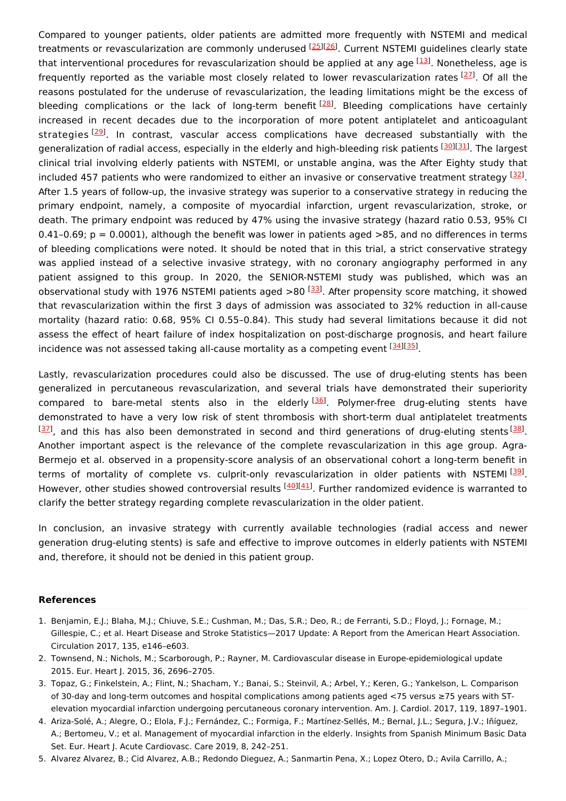Compared to younger patients, older patients are admitted more frequently with NSTEMI and medical treatments or revascularization are commonly underused <sup>[[25\]](#page-3-20)[[26\]](#page-4-0)</sup>. Current NSTEMI guidelines clearly state that interventional procedures for revascularization should be applied at any age [\[13](#page-3-8)]. Nonetheless, age is frequently reported as the variable most closely related to lower revascularization rates <a>[[27](#page-4-1)]</a>. Of all the reasons postulated for the underuse of revascularization, the leading limitations might be the excess of bleeding complications or the lack of long-term benefit <sup>[\[28](#page-4-2)]</sup>. Bleeding complications have certainly increased in recent decades due to the incorporation of more potent antiplatelet and anticoagulant strategies <sup>[\[29](#page-4-3)]</sup>. In contrast, vascular access complications have decreased substantially with the generalization of radial access, especially in the elderly and high-bleeding risk patients [\[30\]](#page-4-4)[[31](#page-4-5)]. The largest clinical trial involving elderly patients with NSTEMI, or unstable angina, was the After Eighty study that included 457 patients who were randomized to either an invasive or conservative treatment strategy <sup>[\[32](#page-4-6)]</sup>. After 1.5 years of follow-up, the invasive strategy was superior to a conservative strategy in reducing the primary endpoint, namely, a composite of myocardial infarction, urgent revascularization, stroke, or death. The primary endpoint was reduced by 47% using the invasive strategy (hazard ratio 0.53, 95% CI 0.41-0.69;  $p = 0.0001$ ), although the benefit was lower in patients aged >85, and no differences in terms of bleeding complications were noted. It should be noted that in this trial, a strict conservative strategy was applied instead of a selective invasive strategy, with no coronary angiography performed in any patient assigned to this group. In 2020, the SENIOR-NSTEMI study was published, which was an observational study with 1976 NSTEMI patients aged >80 <sup>[\[33](#page-4-7)]</sup>. After propensity score matching, it showed that revascularization within the first 3 days of admission was associated to 32% reduction in all-cause mortality (hazard ratio: 0.68, 95% CI 0.55–0.84). This study had several limitations because it did not assess the effect of heart failure of index hospitalization on post-discharge prognosis, and heart failure incidence was not assessed taking all-cause mortality as a competing event [\[34\]](#page-4-8)[[35](#page-4-9)].

Lastly, revascularization procedures could also be discussed. The use of drug-eluting stents has been generalized in percutaneous revascularization, and several trials have demonstrated their superiority compared to bare-metal stents also in the elderly<sup>[[36\]](#page-4-10)</sup>. Polymer-free drug-eluting stents have demonstrated to have a very low risk of stent thrombosis with short-term dual antiplatelet treatments  $^{[37]}$  $^{[37]}$  $^{[37]}$ , and this has also been demonstrated in second and third generations of drug-eluting stents  $^{[38]}$  $^{[38]}$  $^{[38]}$ . Another important aspect is the relevance of the complete revascularization in this age group. Agra-Bermejo et al. observed in a propensity-score analysis of an observational cohort a long-term benefit in terms of mortality of complete vs. culprit-only revascularization in older patients with NSTEMI [\[39](#page-4-13)]. However, other studies showed controversial results <sup>[[40](#page-4-14)][\[41\]](#page-4-15)</sup>. Further randomized evidence is warranted to clarify the better strategy regarding complete revascularization in the older patient.

In conclusion, an invasive strategy with currently available technologies (radial access and newer generation drug-eluting stents) is safe and effective to improve outcomes in elderly patients with NSTEMI and, therefore, it should not be denied in this patient group.

#### **References**

- <span id="page-2-0"></span>1. Benjamin, E.J.; Blaha, M.J.; Chiuve, S.E.; Cushman, M.; Das, S.R.; Deo, R.; de Ferranti, S.D.; Floyd, J.; Fornage, M.; Gillespie, C.; et al. Heart Disease and Stroke Statistics—2017 Update: A Report from the American Heart Association. Circulation 2017, 135, e146–e603.
- <span id="page-2-1"></span>2. Townsend, N.; Nichols, M.; Scarborough, P.; Rayner, M. Cardiovascular disease in Europe-epidemiological update 2015. Eur. Heart J. 2015, 36, 2696–2705.
- <span id="page-2-2"></span>3. Topaz, G.; Finkelstein, A.; Flint, N.; Shacham, Y.; Banai, S.; Steinvil, A.; Arbel, Y.; Keren, G.; Yankelson, L. Comparison of 30-day and long-term outcomes and hospital complications among patients aged <75 versus ≥75 years with STelevation myocardial infarction undergoing percutaneous coronary intervention. Am. J. Cardiol. 2017, 119, 1897–1901.
- <span id="page-2-3"></span>4. Ariza-Solé, A.; Alegre, O.; Elola, F.J.; Fernández, C.; Formiga, F.; Martínez-Sellés, M.; Bernal, J.L.; Segura, J.V.; Iñíguez, A.; Bertomeu, V.; et al. Management of myocardial infarction in the elderly. Insights from Spanish Minimum Basic Data Set. Eur. Heart J. Acute Cardiovasc. Care 2019, 8, 242–251.
- 5. Alvarez Alvarez, B.; Cid Alvarez, A.B.; Redondo Dieguez, A.; Sanmartin Pena, X.; Lopez Otero, D.; Avila Carrillo, A.;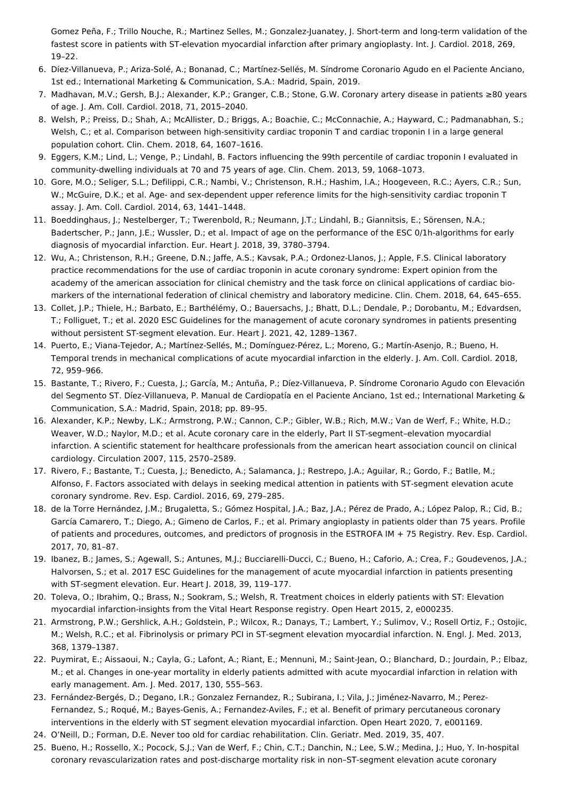<span id="page-3-0"></span>Gomez Peña, F.; Trillo Nouche, R.; Martinez Selles, M.; Gonzalez-Juanatey, J. Short-term and long-term validation of the fastest score in patients with ST-elevation myocardial infarction after primary angioplasty. Int. J. Cardiol. 2018, 269, 19–22.

- <span id="page-3-1"></span>6. Díez-Villanueva, P.; Ariza-Solé, A.; Bonanad, C.; Martínez-Sellés, M. Síndrome Coronario Agudo en el Paciente Anciano, 1st ed.; International Marketing & Communication, S.A.: Madrid, Spain, 2019.
- <span id="page-3-2"></span>7. Madhavan, M.V.; Gersh, B.J.; Alexander, K.P.; Granger, C.B.; Stone, G.W. Coronary artery disease in patients ≥80 years of age. J. Am. Coll. Cardiol. 2018, 71, 2015–2040.
- <span id="page-3-3"></span>8. Welsh, P.; Preiss, D.; Shah, A.; McAllister, D.; Briggs, A.; Boachie, C.; McConnachie, A.; Hayward, C.; Padmanabhan, S.; Welsh, C.; et al. Comparison between high-sensitivity cardiac troponin T and cardiac troponin I in a large general population cohort. Clin. Chem. 2018, 64, 1607–1616.
- <span id="page-3-4"></span>9. Eggers, K.M.; Lind, L.; Venge, P.; Lindahl, B. Factors influencing the 99th percentile of cardiac troponin I evaluated in community-dwelling individuals at 70 and 75 years of age. Clin. Chem. 2013, 59, 1068–1073.
- <span id="page-3-5"></span>10. Gore, M.O.; Seliger, S.L.; Defilippi, C.R.; Nambi, V.; Christenson, R.H.; Hashim, I.A.; Hoogeveen, R.C.; Ayers, C.R.; Sun, W.; McGuire, D.K.; et al. Age- and sex-dependent upper reference limits for the high-sensitivity cardiac troponin T assay. J. Am. Coll. Cardiol. 2014, 63, 1441–1448.
- <span id="page-3-6"></span>11. Boeddinghaus, J.; Nestelberger, T.; Twerenbold, R.; Neumann, J.T.; Lindahl, B.; Giannitsis, E.; Sörensen, N.A.; Badertscher, P.; Jann, J.E.; Wussler, D.; et al. Impact of age on the performance of the ESC 0/1h-algorithms for early diagnosis of myocardial infarction. Eur. Heart J. 2018, 39, 3780–3794.
- <span id="page-3-7"></span>12. Wu, A.; Christenson, R.H.; Greene, D.N.; Jaffe, A.S.; Kavsak, P.A.; Ordonez-Llanos, J.; Apple, F.S. Clinical laboratory practice recommendations for the use of cardiac troponin in acute coronary syndrome: Expert opinion from the academy of the american association for clinical chemistry and the task force on clinical applications of cardiac biomarkers of the international federation of clinical chemistry and laboratory medicine. Clin. Chem. 2018, 64, 645–655.
- <span id="page-3-8"></span>13. Collet, J.P.; Thiele, H.; Barbato, E.; Barthélémy, O.; Bauersachs, J.; Bhatt, D.L.; Dendale, P.; Dorobantu, M.; Edvardsen, T.; Folliguet, T.; et al. 2020 ESC Guidelines for the management of acute coronary syndromes in patients presenting without persistent ST-segment elevation. Eur. Heart J. 2021, 42, 1289–1367.
- <span id="page-3-9"></span>14. Puerto, E.; Viana-Tejedor, A.; Martínez-Sellés, M.; Domínguez-Pérez, L.; Moreno, G.; Martín-Asenjo, R.; Bueno, H. Temporal trends in mechanical complications of acute myocardial infarction in the elderly. J. Am. Coll. Cardiol. 2018, 72, 959–966.
- <span id="page-3-10"></span>15. Bastante, T.; Rivero, F.; Cuesta, J.; García, M.; Antuña, P.; Díez-Villanueva, P. Síndrome Coronario Agudo con Elevación del Segmento ST. Díez-Villanueva, P. Manual de Cardiopatía en el Paciente Anciano, 1st ed.; International Marketing & Communication, S.A.: Madrid, Spain, 2018; pp. 89–95.
- <span id="page-3-11"></span>16. Alexander, K.P.; Newby, L.K.; Armstrong, P.W.; Cannon, C.P.; Gibler, W.B.; Rich, M.W.; Van de Werf, F.; White, H.D.; Weaver, W.D.; Naylor, M.D.; et al. Acute coronary care in the elderly, Part II ST-segment–elevation myocardial infarction. A scientific statement for healthcare professionals from the american heart association council on clinical cardiology. Circulation 2007, 115, 2570–2589.
- <span id="page-3-12"></span>17. Rivero, F.; Bastante, T.; Cuesta, J.; Benedicto, A.; Salamanca, J.; Restrepo, J.A.; Aguilar, R.; Gordo, F.; Batlle, M.; Alfonso, F. Factors associated with delays in seeking medical attention in patients with ST-segment elevation acute coronary syndrome. Rev. Esp. Cardiol. 2016, 69, 279–285.
- <span id="page-3-13"></span>18. de la Torre Hernández, J.M.; Brugaletta, S.; Gómez Hospital, J.A.; Baz, J.A.; Pérez de Prado, A.; López Palop, R.; Cid, B.; García Camarero, T.; Diego, A.; Gimeno de Carlos, F.; et al. Primary angioplasty in patients older than 75 years. Profile of patients and procedures, outcomes, and predictors of prognosis in the ESTROFA IM + 75 Registry. Rev. Esp. Cardiol. 2017, 70, 81–87.
- <span id="page-3-14"></span>19. Ibanez, B.; James, S.; Agewall, S.; Antunes, M.J.; Bucciarelli-Ducci, C.; Bueno, H.; Caforio, A.; Crea, F.; Goudevenos, J.A.; Halvorsen, S.; et al. 2017 ESC Guidelines for the management of acute myocardial infarction in patients presenting with ST-segment elevation. Eur. Heart J. 2018, 39, 119–177.
- <span id="page-3-15"></span>20. Toleva, O.; Ibrahim, Q.; Brass, N.; Sookram, S.; Welsh, R. Treatment choices in elderly patients with ST: Elevation myocardial infarction-insights from the Vital Heart Response registry. Open Heart 2015, 2, e000235.
- <span id="page-3-16"></span>21. Armstrong, P.W.; Gershlick, A.H.; Goldstein, P.; Wilcox, R.; Danays, T.; Lambert, Y.; Sulimov, V.; Rosell Ortiz, F.; Ostojic, M.; Welsh, R.C.; et al. Fibrinolysis or primary PCI in ST-segment elevation myocardial infarction. N. Engl. J. Med. 2013, 368, 1379–1387.
- <span id="page-3-17"></span>22. Puymirat, E.; Aissaoui, N.; Cayla, G.; Lafont, A.; Riant, E.; Mennuni, M.; Saint-Jean, O.; Blanchard, D.; Jourdain, P.; Elbaz, M.; et al. Changes in one-year mortality in elderly patients admitted with acute myocardial infarction in relation with early management. Am. J. Med. 2017, 130, 555–563.
- <span id="page-3-18"></span>23. Fernández-Bergés, D.; Degano, I.R.; Gonzalez Fernandez, R.; Subirana, I.; Vila, J.; Jiménez-Navarro, M.; Perez-Fernandez, S.; Roqué, M.; Bayes-Genis, A.; Fernandez-Aviles, F.; et al. Benefit of primary percutaneous coronary interventions in the elderly with ST segment elevation myocardial infarction. Open Heart 2020, 7, e001169.
- <span id="page-3-19"></span>24. O'Neill, D.; Forman, D.E. Never too old for cardiac rehabilitation. Clin. Geriatr. Med. 2019, 35, 407.
- <span id="page-3-20"></span>25. Bueno, H.; Rossello, X.; Pocock, S.J.; Van de Werf, F.; Chin, C.T.; Danchin, N.; Lee, S.W.; Medina, J.; Huo, Y. In-hospital coronary revascularization rates and post-discharge mortality risk in non–ST-segment elevation acute coronary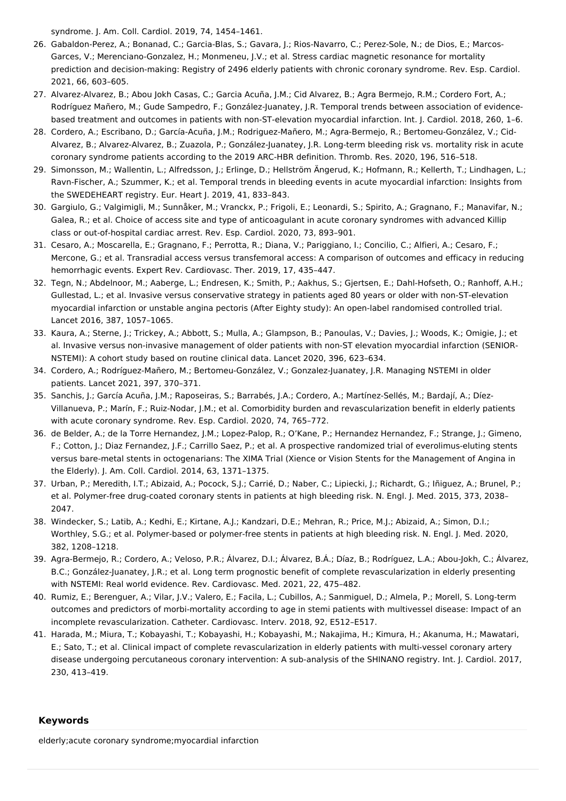<span id="page-4-0"></span>syndrome. J. Am. Coll. Cardiol. 2019, 74, 1454–1461.

- 26. Gabaldon-Perez, A.; Bonanad, C.; Garcia-Blas, S.; Gavara, J.; Rios-Navarro, C.; Perez-Sole, N.; de Dios, E.; Marcos-Garces, V.; Merenciano-Gonzalez, H.; Monmeneu, J.V.; et al. Stress cardiac magnetic resonance for mortality prediction and decision-making: Registry of 2496 elderly patients with chronic coronary syndrome. Rev. Esp. Cardiol. 2021, 66, 603–605.
- <span id="page-4-1"></span>27. Alvarez-Alvarez, B.; Abou Jokh Casas, C.; Garcia Acuña, J.M.; Cid Alvarez, B.; Agra Bermejo, R.M.; Cordero Fort, A.; Rodríguez Mañero, M.; Gude Sampedro, F.; González-Juanatey, J.R. Temporal trends between association of evidencebased treatment and outcomes in patients with non-ST-elevation myocardial infarction. Int. J. Cardiol. 2018, 260, 1–6.
- <span id="page-4-2"></span>28. Cordero, A.; Escribano, D.; García-Acuña, J.M.; Rodriguez-Mañero, M.; Agra-Bermejo, R.; Bertomeu-González, V.; Cid-Alvarez, B.; Alvarez-Alvarez, B.; Zuazola, P.; González-Juanatey, J.R. Long-term bleeding risk vs. mortality risk in acute coronary syndrome patients according to the 2019 ARC-HBR definition. Thromb. Res. 2020, 196, 516–518.
- <span id="page-4-3"></span>29. Simonsson, M.; Wallentin, L.; Alfredsson, J.; Erlinge, D.; Hellström Ängerud, K.; Hofmann, R.; Kellerth, T.; Lindhagen, L.; Ravn-Fischer, A.; Szummer, K.; et al. Temporal trends in bleeding events in acute myocardial infarction: Insights from the SWEDEHEART registry. Eur. Heart J. 2019, 41, 833–843.
- <span id="page-4-4"></span>30. Gargiulo, G.; Valgimigli, M.; Sunnåker, M.; Vranckx, P.; Frigoli, E.; Leonardi, S.; Spirito, A.; Gragnano, F.; Manavifar, N.; Galea, R.; et al. Choice of access site and type of anticoagulant in acute coronary syndromes with advanced Killip class or out-of-hospital cardiac arrest. Rev. Esp. Cardiol. 2020, 73, 893–901.
- <span id="page-4-5"></span>31. Cesaro, A.; Moscarella, E.; Gragnano, F.; Perrotta, R.; Diana, V.; Pariggiano, I.; Concilio, C.; Alfieri, A.; Cesaro, F.; Mercone, G.; et al. Transradial access versus transfemoral access: A comparison of outcomes and efficacy in reducing hemorrhagic events. Expert Rev. Cardiovasc. Ther. 2019, 17, 435–447.
- <span id="page-4-6"></span>32. Tegn, N.; Abdelnoor, M.; Aaberge, L.; Endresen, K.; Smith, P.; Aakhus, S.; Gjertsen, E.; Dahl-Hofseth, O.; Ranhoff, A.H.; Gullestad, L.; et al. Invasive versus conservative strategy in patients aged 80 years or older with non-ST-elevation myocardial infarction or unstable angina pectoris (After Eighty study): An open-label randomised controlled trial. Lancet 2016, 387, 1057–1065.
- <span id="page-4-7"></span>33. Kaura, A.; Sterne, J.; Trickey, A.; Abbott, S.; Mulla, A.; Glampson, B.; Panoulas, V.; Davies, J.; Woods, K.; Omigie, J.; et al. Invasive versus non-invasive management of older patients with non-ST elevation myocardial infarction (SENIOR-NSTEMI): A cohort study based on routine clinical data. Lancet 2020, 396, 623–634.
- <span id="page-4-8"></span>34. Cordero, A.; Rodríguez-Mañero, M.; Bertomeu-González, V.; Gonzalez-Juanatey, J.R. Managing NSTEMI in older patients. Lancet 2021, 397, 370–371.
- <span id="page-4-9"></span>35. Sanchis, J.; García Acuña, J.M.; Raposeiras, S.; Barrabés, J.A.; Cordero, A.; Martínez-Sellés, M.; Bardají, A.; Díez-Villanueva, P.; Marín, F.; Ruiz-Nodar, J.M.; et al. Comorbidity burden and revascularization benefit in elderly patients with acute coronary syndrome. Rev. Esp. Cardiol. 2020, 74, 765–772.
- <span id="page-4-10"></span>36. de Belder, A.; de la Torre Hernandez, J.M.; Lopez-Palop, R.; O'Kane, P.; Hernandez Hernandez, F.; Strange, J.; Gimeno, F.; Cotton, J.; Diaz Fernandez, J.F.; Carrillo Saez, P.; et al. A prospective randomized trial of everolimus-eluting stents versus bare-metal stents in octogenarians: The XIMA Trial (Xience or Vision Stents for the Management of Angina in the Elderly). J. Am. Coll. Cardiol. 2014, 63, 1371–1375.
- <span id="page-4-11"></span>37. Urban, P.; Meredith, I.T.; Abizaid, A.; Pocock, S.J.; Carrié, D.; Naber, C.; Lipiecki, J.; Richardt, G.; Iñiguez, A.; Brunel, P.; et al. Polymer-free drug-coated coronary stents in patients at high bleeding risk. N. Engl. J. Med. 2015, 373, 2038– 2047.
- <span id="page-4-12"></span>38. Windecker, S.; Latib, A.; Kedhi, E.; Kirtane, A.J.; Kandzari, D.E.; Mehran, R.; Price, M.J.; Abizaid, A.; Simon, D.I.; Worthley, S.G.; et al. Polymer-based or polymer-free stents in patients at high bleeding risk. N. Engl. J. Med. 2020, 382, 1208–1218.
- <span id="page-4-13"></span>39. Agra-Bermejo, R.; Cordero, A.; Veloso, P.R.; Álvarez, D.I.; Álvarez, B.Á.; Díaz, B.; Rodríguez, L.A.; Abou-Jokh, C.; Álvarez, B.C.; González-Juanatey, J.R.; et al. Long term prognostic benefit of complete revascularization in elderly presenting with NSTEMI: Real world evidence. Rev. Cardiovasc. Med. 2021, 22, 475–482.
- <span id="page-4-14"></span>40. Rumiz, E.; Berenguer, A.; Vilar, J.V.; Valero, E.; Facila, L.; Cubillos, A.; Sanmiguel, D.; Almela, P.; Morell, S. Long-term outcomes and predictors of morbi-mortality according to age in stemi patients with multivessel disease: Impact of an incomplete revascularization. Catheter. Cardiovasc. Interv. 2018, 92, E512–E517.
- <span id="page-4-15"></span>41. Harada, M.; Miura, T.; Kobayashi, T.; Kobayashi, H.; Kobayashi, M.; Nakajima, H.; Kimura, H.; Akanuma, H.; Mawatari, E.; Sato, T.; et al. Clinical impact of complete revascularization in elderly patients with multi-vessel coronary artery disease undergoing percutaneous coronary intervention: A sub-analysis of the SHINANO registry. Int. J. Cardiol. 2017, 230, 413–419.

#### **Keywords**

elderly;acute coronary syndrome;myocardial infarction